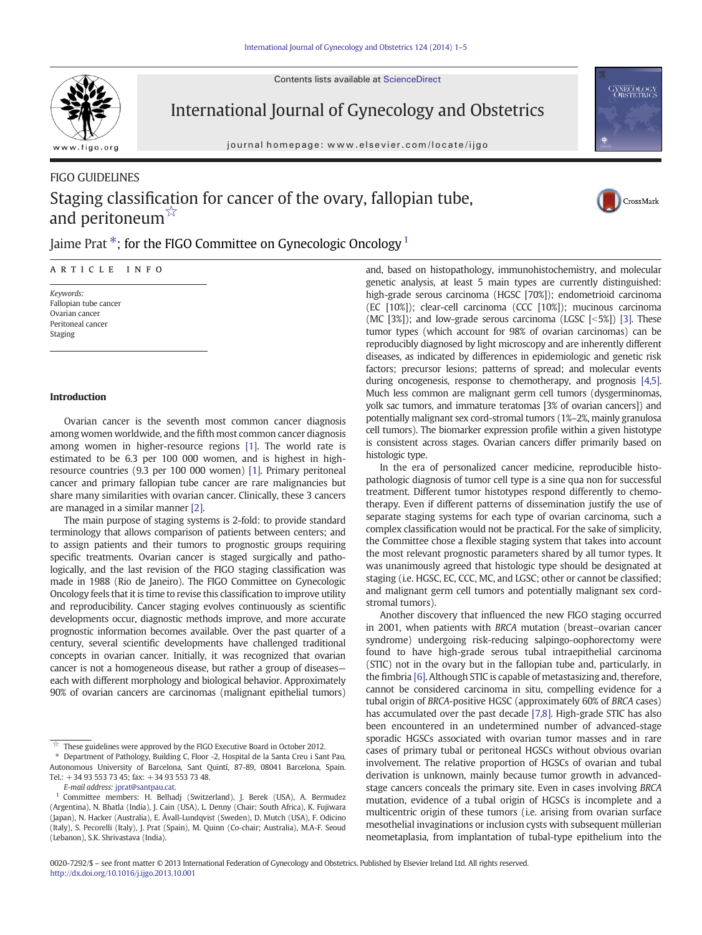Contents lists available at ScienceDirect



International Journal of Gynecology and Obstetrics

journal homepage: www.elsevier.com/locate/ijgo



# FIGO GUIDELINES Staging classification for cancer of the ovary, fallopian tube, and peritoneum<sup>☆</sup>



Jaime Prat  $*$ ; for the FIGO Committee on Gynecologic Oncology<sup>1</sup>

article info

Keywords: Fallopian tube cancer Ovarian cancer Peritoneal cancer Staging

# Introduction

Ovarian cancer is the seventh most common cancer diagnosis among women worldwide, and the fifth most common cancer diagnosis among women in higher-resource regions [\[1\]](#page-3-0). The world rate is estimated to be 6.3 per 100 000 women, and is highest in highresource countries (9.3 per 100 000 women) [\[1\]](#page-3-0). Primary peritoneal cancer and primary fallopian tube cancer are rare malignancies but share many similarities with ovarian cancer. Clinically, these 3 cancers are managed in a similar manner [\[2\]](#page-3-0).

The main purpose of staging systems is 2-fold: to provide standard terminology that allows comparison of patients between centers; and to assign patients and their tumors to prognostic groups requiring specific treatments. Ovarian cancer is staged surgically and pathologically, and the last revision of the FIGO staging classification was made in 1988 (Rio de Janeiro). The FIGO Committee on Gynecologic Oncology feels that it is time to revise this classification to improve utility and reproducibility. Cancer staging evolves continuously as scientific developments occur, diagnostic methods improve, and more accurate prognostic information becomes available. Over the past quarter of a century, several scientific developments have challenged traditional concepts in ovarian cancer. Initially, it was recognized that ovarian cancer is not a homogeneous disease, but rather a group of diseases each with different morphology and biological behavior. Approximately 90% of ovarian cancers are carcinomas (malignant epithelial tumors)

E-mail address: [jprat@santpau.cat](mailto:jprat@santpau.cat).

and, based on histopathology, immunohistochemistry, and molecular genetic analysis, at least 5 main types are currently distinguished: high-grade serous carcinoma (HGSC [70%]); endometrioid carcinoma (EC [10%]); clear-cell carcinoma (CCC [10%]); mucinous carcinoma (MC  $[3\%]$ ); and low-grade serous carcinoma (LGSC  $[<5\%]$ ) [\[3\]](#page-3-0). These tumor types (which account for 98% of ovarian carcinomas) can be reproducibly diagnosed by light microscopy and are inherently different diseases, as indicated by differences in epidemiologic and genetic risk factors; precursor lesions; patterns of spread; and molecular events during oncogenesis, response to chemotherapy, and prognosis [\[4,5\].](#page-3-0) Much less common are malignant germ cell tumors (dysgerminomas, yolk sac tumors, and immature teratomas [3% of ovarian cancers]) and potentially malignant sex cord-stromal tumors (1%–2%, mainly granulosa cell tumors). The biomarker expression profile within a given histotype is consistent across stages. Ovarian cancers differ primarily based on histologic type.

In the era of personalized cancer medicine, reproducible histopathologic diagnosis of tumor cell type is a sine qua non for successful treatment. Different tumor histotypes respond differently to chemotherapy. Even if different patterns of dissemination justify the use of separate staging systems for each type of ovarian carcinoma, such a complex classification would not be practical. For the sake of simplicity, the Committee chose a flexible staging system that takes into account the most relevant prognostic parameters shared by all tumor types. It was unanimously agreed that histologic type should be designated at staging (i.e. HGSC, EC, CCC, MC, and LGSC; other or cannot be classified; and malignant germ cell tumors and potentially malignant sex cordstromal tumors).

Another discovery that influenced the new FIGO staging occurred in 2001, when patients with BRCA mutation (breast–ovarian cancer syndrome) undergoing risk-reducing salpingo-oophorectomy were found to have high-grade serous tubal intraepithelial carcinoma (STIC) not in the ovary but in the fallopian tube and, particularly, in the fimbria [\[6\]](#page-3-0). Although STIC is capable of metastasizing and, therefore, cannot be considered carcinoma in situ, compelling evidence for a tubal origin of BRCA-positive HGSC (approximately 60% of BRCA cases) has accumulated over the past decade [\[7,8\]](#page-3-0). High-grade STIC has also been encountered in an undetermined number of advanced-stage sporadic HGSCs associated with ovarian tumor masses and in rare cases of primary tubal or peritoneal HGSCs without obvious ovarian involvement. The relative proportion of HGSCs of ovarian and tubal derivation is unknown, mainly because tumor growth in advancedstage cancers conceals the primary site. Even in cases involving BRCA mutation, evidence of a tubal origin of HGSCs is incomplete and a multicentric origin of these tumors (i.e. arising from ovarian surface mesothelial invaginations or inclusion cysts with subsequent müllerian neometaplasia, from implantation of tubal-type epithelium into the

 $\overrightarrow{a}$  These guidelines were approved by the FIGO Executive Board in October 2012.

<sup>⁎</sup> Department of Pathology, Building C, Floor -2, Hospital de la Santa Creu i Sant Pau, Autonomous University of Barcelona, Sant Quintí, 87-89, 08041 Barcelona, Spain. Tel.: +34 93 553 73 45; fax: +34 93 553 73 48.

<sup>1</sup> Committee members: H. Belhadj (Switzerland), J. Berek (USA), A. Bermudez (Argentina), N. Bhatla (India), J. Cain (USA), L. Denny (Chair; South Africa), K. Fujiwara (Japan), N. Hacker (Australia), E. Åvall-Lundqvist (Sweden), D. Mutch (USA), F. Odicino (Italy), S. Pecorelli (Italy), J. Prat (Spain), M. Quinn (Co-chair; Australia), M.A-F. Seoud (Lebanon), S.K. Shrivastava (India).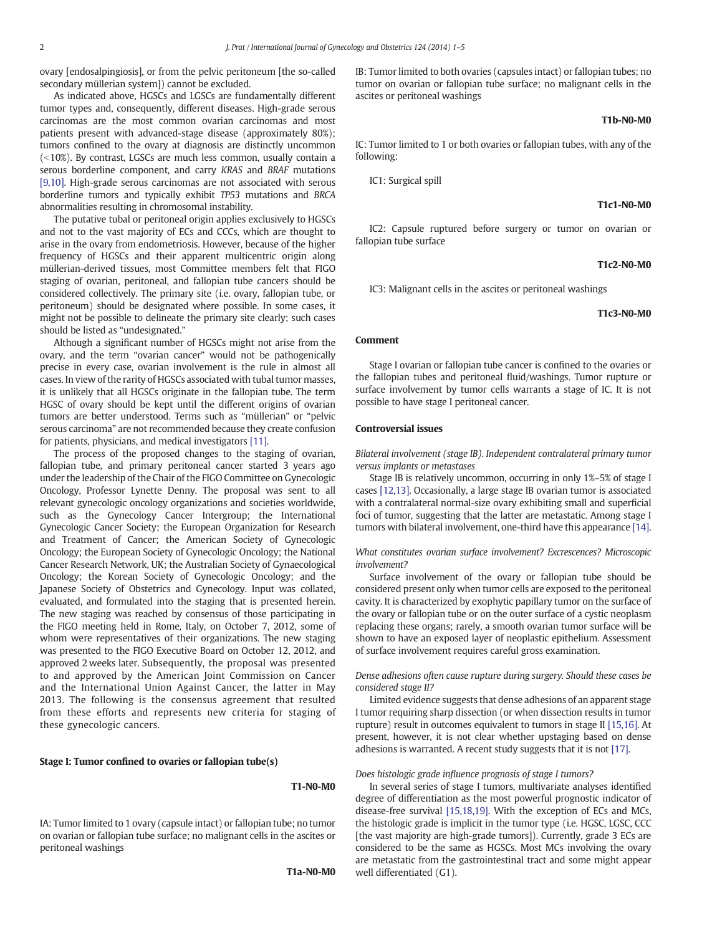ovary [endosalpingiosis], or from the pelvic peritoneum [the so-called secondary müllerian system]) cannot be excluded.

As indicated above, HGSCs and LGSCs are fundamentally different tumor types and, consequently, different diseases. High-grade serous carcinomas are the most common ovarian carcinomas and most patients present with advanced-stage disease (approximately 80%); tumors confined to the ovary at diagnosis are distinctly uncommon  $(<10%)$ . By contrast, LGSCs are much less common, usually contain a serous borderline component, and carry KRAS and BRAF mutations [\[9,10\]](#page-3-0). High-grade serous carcinomas are not associated with serous borderline tumors and typically exhibit TP53 mutations and BRCA abnormalities resulting in chromosomal instability.

The putative tubal or peritoneal origin applies exclusively to HGSCs and not to the vast majority of ECs and CCCs, which are thought to arise in the ovary from endometriosis. However, because of the higher frequency of HGSCs and their apparent multicentric origin along müllerian-derived tissues, most Committee members felt that FIGO staging of ovarian, peritoneal, and fallopian tube cancers should be considered collectively. The primary site (i.e. ovary, fallopian tube, or peritoneum) should be designated where possible. In some cases, it might not be possible to delineate the primary site clearly; such cases should be listed as "undesignated."

Although a significant number of HGSCs might not arise from the ovary, and the term "ovarian cancer" would not be pathogenically precise in every case, ovarian involvement is the rule in almost all cases. In view of the rarity of HGSCs associated with tubal tumor masses, it is unlikely that all HGSCs originate in the fallopian tube. The term HGSC of ovary should be kept until the different origins of ovarian tumors are better understood. Terms such as "müllerian" or "pelvic serous carcinoma" are not recommended because they create confusion for patients, physicians, and medical investigators [\[11\]](#page-3-0).

The process of the proposed changes to the staging of ovarian, fallopian tube, and primary peritoneal cancer started 3 years ago under the leadership of the Chair of the FIGO Committee on Gynecologic Oncology, Professor Lynette Denny. The proposal was sent to all relevant gynecologic oncology organizations and societies worldwide, such as the Gynecology Cancer Intergroup; the International Gynecologic Cancer Society; the European Organization for Research and Treatment of Cancer; the American Society of Gynecologic Oncology; the European Society of Gynecologic Oncology; the National Cancer Research Network, UK; the Australian Society of Gynaecological Oncology; the Korean Society of Gynecologic Oncology; and the Japanese Society of Obstetrics and Gynecology. Input was collated, evaluated, and formulated into the staging that is presented herein. The new staging was reached by consensus of those participating in the FIGO meeting held in Rome, Italy, on October 7, 2012, some of whom were representatives of their organizations. The new staging was presented to the FIGO Executive Board on October 12, 2012, and approved 2 weeks later. Subsequently, the proposal was presented to and approved by the American Joint Commission on Cancer and the International Union Against Cancer, the latter in May 2013. The following is the consensus agreement that resulted from these efforts and represents new criteria for staging of these gynecologic cancers.

#### Stage I: Tumor confined to ovaries or fallopian tube(s)

#### T1-N0-M0

IA: Tumor limited to 1 ovary (capsule intact) or fallopian tube; no tumor on ovarian or fallopian tube surface; no malignant cells in the ascites or peritoneal washings

T1a-N0-M0

IB: Tumor limited to both ovaries (capsules intact) or fallopian tubes; no tumor on ovarian or fallopian tube surface; no malignant cells in the ascites or peritoneal washings

### T1b-N0-M0

IC: Tumor limited to 1 or both ovaries or fallopian tubes, with any of the following:

IC1: Surgical spill

#### T1c1-N0-M0

IC2: Capsule ruptured before surgery or tumor on ovarian or fallopian tube surface

## T1c2-N0-M0

IC3: Malignant cells in the ascites or peritoneal washings

T1c3-N0-M0

### Comment

Stage I ovarian or fallopian tube cancer is confined to the ovaries or the fallopian tubes and peritoneal fluid/washings. Tumor rupture or surface involvement by tumor cells warrants a stage of IC. It is not possible to have stage I peritoneal cancer.

#### Controversial issues

Bilateral involvement (stage IB). Independent contralateral primary tumor versus implants or metastases

Stage IB is relatively uncommon, occurring in only 1%–5% of stage I cases [\[12,13\]](#page-4-0). Occasionally, a large stage IB ovarian tumor is associated with a contralateral normal-size ovary exhibiting small and superficial foci of tumor, suggesting that the latter are metastatic. Among stage I tumors with bilateral involvement, one-third have this appearance [\[14\].](#page-4-0)

What constitutes ovarian surface involvement? Excrescences? Microscopic involvement?

Surface involvement of the ovary or fallopian tube should be considered present only when tumor cells are exposed to the peritoneal cavity. It is characterized by exophytic papillary tumor on the surface of the ovary or fallopian tube or on the outer surface of a cystic neoplasm replacing these organs; rarely, a smooth ovarian tumor surface will be shown to have an exposed layer of neoplastic epithelium. Assessment of surface involvement requires careful gross examination.

Dense adhesions often cause rupture during surgery. Should these cases be considered stage II?

Limited evidence suggests that dense adhesions of an apparent stage I tumor requiring sharp dissection (or when dissection results in tumor rupture) result in outcomes equivalent to tumors in stage II [\[15,16\].](#page-4-0) At present, however, it is not clear whether upstaging based on dense adhesions is warranted. A recent study suggests that it is not [\[17\]](#page-4-0).

#### Does histologic grade influence prognosis of stage I tumors?

In several series of stage I tumors, multivariate analyses identified degree of differentiation as the most powerful prognostic indicator of disease-free survival [\[15,18,19\]](#page-4-0). With the exception of ECs and MCs, the histologic grade is implicit in the tumor type (i.e. HGSC, LGSC, CCC [the vast majority are high-grade tumors]). Currently, grade 3 ECs are considered to be the same as HGSCs. Most MCs involving the ovary are metastatic from the gastrointestinal tract and some might appear well differentiated (G1).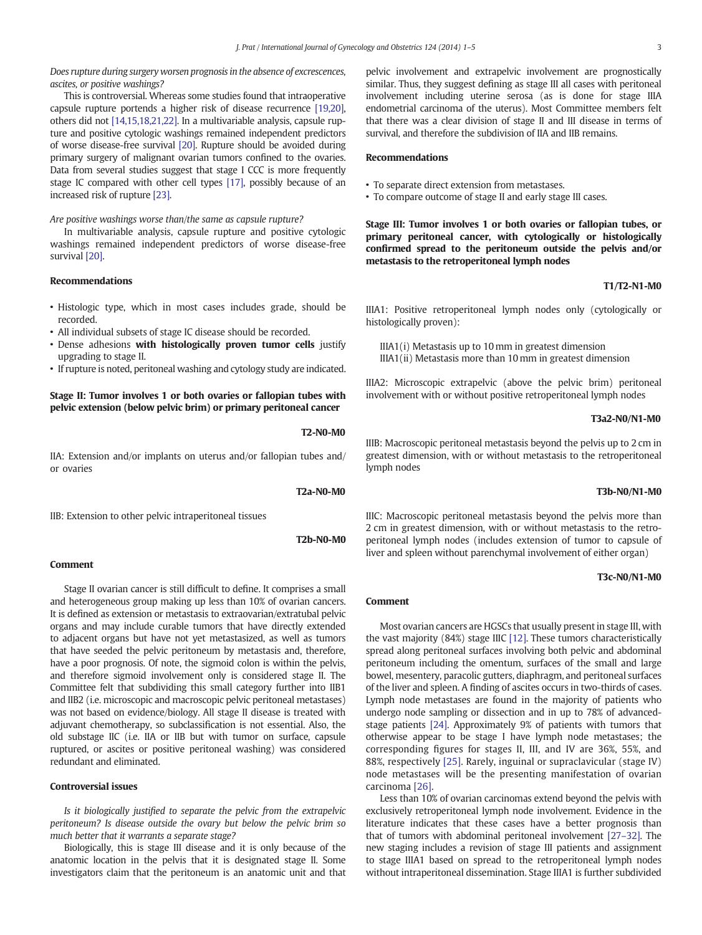Does rupture during surgery worsen prognosis in the absence of excrescences, ascites, or positive washings?

This is controversial. Whereas some studies found that intraoperative capsule rupture portends a higher risk of disease recurrence [\[19,20\],](#page-4-0) others did not [\[14,15,18,21,22\]](#page-4-0). In a multivariable analysis, capsule rupture and positive cytologic washings remained independent predictors of worse disease-free survival [\[20\].](#page-4-0) Rupture should be avoided during primary surgery of malignant ovarian tumors confined to the ovaries. Data from several studies suggest that stage I CCC is more frequently stage IC compared with other cell types [\[17\]](#page-4-0), possibly because of an increased risk of rupture [\[23\].](#page-4-0)

Are positive washings worse than/the same as capsule rupture?

In multivariable analysis, capsule rupture and positive cytologic washings remained independent predictors of worse disease-free survival [\[20\].](#page-4-0)

# Recommendations

- Histologic type, which in most cases includes grade, should be recorded.
- All individual subsets of stage IC disease should be recorded.
- Dense adhesions with histologically proven tumor cells justify upgrading to stage II.
- If rupture is noted, peritoneal washing and cytology study are indicated.

# Stage II: Tumor involves 1 or both ovaries or fallopian tubes with pelvic extension (below pelvic brim) or primary peritoneal cancer

#### T2-N0-M0

IIA: Extension and/or implants on uterus and/or fallopian tubes and/ or ovaries

T2a-N0-M0

IIB: Extension to other pelvic intraperitoneal tissues

T2b-N0-M0

#### Comment

Stage II ovarian cancer is still difficult to define. It comprises a small and heterogeneous group making up less than 10% of ovarian cancers. It is defined as extension or metastasis to extraovarian/extratubal pelvic organs and may include curable tumors that have directly extended to adjacent organs but have not yet metastasized, as well as tumors that have seeded the pelvic peritoneum by metastasis and, therefore, have a poor prognosis. Of note, the sigmoid colon is within the pelvis, and therefore sigmoid involvement only is considered stage II. The Committee felt that subdividing this small category further into IIB1 and IIB2 (i.e. microscopic and macroscopic pelvic peritoneal metastases) was not based on evidence/biology. All stage II disease is treated with adjuvant chemotherapy, so subclassification is not essential. Also, the old substage IIC (i.e. IIA or IIB but with tumor on surface, capsule ruptured, or ascites or positive peritoneal washing) was considered redundant and eliminated.

# Controversial issues

Is it biologically justified to separate the pelvic from the extrapelvic peritoneum? Is disease outside the ovary but below the pelvic brim so much better that it warrants a separate stage?

Biologically, this is stage III disease and it is only because of the anatomic location in the pelvis that it is designated stage II. Some investigators claim that the peritoneum is an anatomic unit and that pelvic involvement and extrapelvic involvement are prognostically similar. Thus, they suggest defining as stage III all cases with peritoneal involvement including uterine serosa (as is done for stage IIIA endometrial carcinoma of the uterus). Most Committee members felt that there was a clear division of stage II and III disease in terms of survival, and therefore the subdivision of IIA and IIB remains.

#### Recommendations

- To separate direct extension from metastases.
- To compare outcome of stage II and early stage III cases.

Stage III: Tumor involves 1 or both ovaries or fallopian tubes, or primary peritoneal cancer, with cytologically or histologically confirmed spread to the peritoneum outside the pelvis and/or metastasis to the retroperitoneal lymph nodes

## T1/T2-N1-M0

IIIA1: Positive retroperitoneal lymph nodes only (cytologically or histologically proven):

IIIA1(i) Metastasis up to 10 mm in greatest dimension IIIA1(ii) Metastasis more than 10 mm in greatest dimension

IIIA2: Microscopic extrapelvic (above the pelvic brim) peritoneal involvement with or without positive retroperitoneal lymph nodes

### T3a2-N0/N1-M0

IIIB: Macroscopic peritoneal metastasis beyond the pelvis up to 2 cm in greatest dimension, with or without metastasis to the retroperitoneal lymph nodes

#### T3b-N0/N1-M0

IIIC: Macroscopic peritoneal metastasis beyond the pelvis more than 2 cm in greatest dimension, with or without metastasis to the retroperitoneal lymph nodes (includes extension of tumor to capsule of liver and spleen without parenchymal involvement of either organ)

## T3c-N0/N1-M0

# Comment

Most ovarian cancers are HGSCs that usually present in stage III, with the vast majority (84%) stage IIIC [\[12\]](#page-4-0). These tumors characteristically spread along peritoneal surfaces involving both pelvic and abdominal peritoneum including the omentum, surfaces of the small and large bowel, mesentery, paracolic gutters, diaphragm, and peritoneal surfaces of the liver and spleen. A finding of ascites occurs in two-thirds of cases. Lymph node metastases are found in the majority of patients who undergo node sampling or dissection and in up to 78% of advancedstage patients [\[24\]](#page-4-0). Approximately 9% of patients with tumors that otherwise appear to be stage I have lymph node metastases; the corresponding figures for stages II, III, and IV are 36%, 55%, and 88%, respectively [\[25\]](#page-4-0). Rarely, inguinal or supraclavicular (stage IV) node metastases will be the presenting manifestation of ovarian carcinoma [\[26\]](#page-4-0).

Less than 10% of ovarian carcinomas extend beyond the pelvis with exclusively retroperitoneal lymph node involvement. Evidence in the literature indicates that these cases have a better prognosis than that of tumors with abdominal peritoneal involvement [27–[32\]](#page-4-0). The new staging includes a revision of stage III patients and assignment to stage IIIA1 based on spread to the retroperitoneal lymph nodes without intraperitoneal dissemination. Stage IIIA1 is further subdivided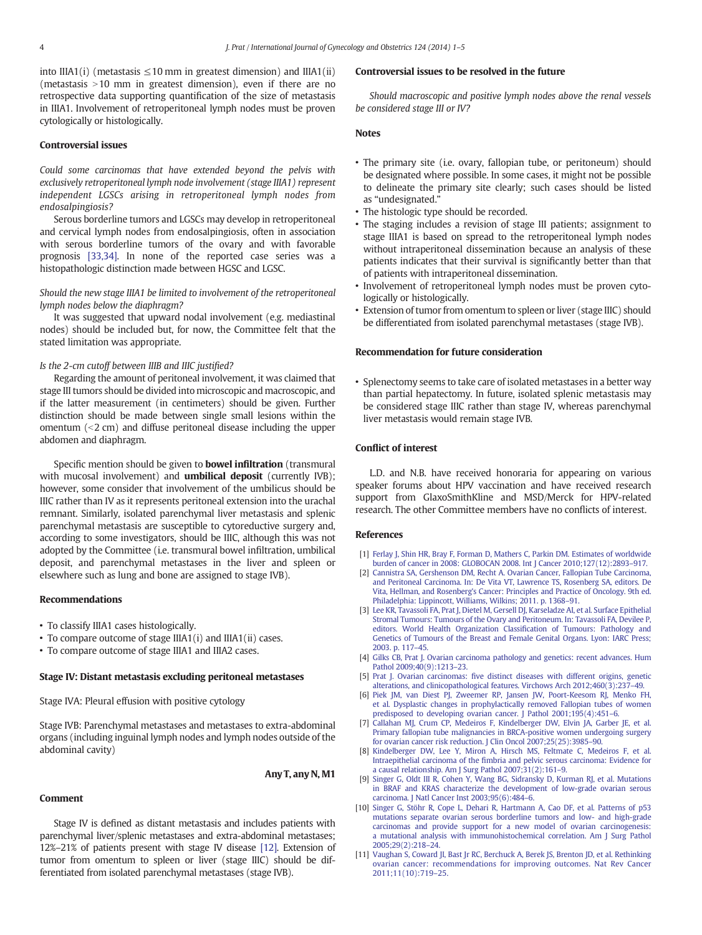<span id="page-3-0"></span>into IIIA1(i) (metastasis  $\leq 10$  mm in greatest dimension) and IIIA1(ii) (metastasis  $>10$  mm in greatest dimension), even if there are no retrospective data supporting quantification of the size of metastasis in IIIA1. Involvement of retroperitoneal lymph nodes must be proven cytologically or histologically.

#### Controversial issues

Could some carcinomas that have extended beyond the pelvis with exclusively retroperitoneal lymph node involvement (stage IIIA1) represent independent LGSCs arising in retroperitoneal lymph nodes from endosalpingiosis?

Serous borderline tumors and LGSCs may develop in retroperitoneal and cervical lymph nodes from endosalpingiosis, often in association with serous borderline tumors of the ovary and with favorable prognosis [\[33,34\]](#page-4-0). In none of the reported case series was a histopathologic distinction made between HGSC and LGSC.

Should the new stage IIIA1 be limited to involvement of the retroperitoneal lymph nodes below the diaphragm?

It was suggested that upward nodal involvement (e.g. mediastinal nodes) should be included but, for now, the Committee felt that the stated limitation was appropriate.

#### Is the 2-cm cutoff between IIIB and IIIC justified?

Regarding the amount of peritoneal involvement, it was claimed that stage III tumors should be divided into microscopic and macroscopic, and if the latter measurement (in centimeters) should be given. Further distinction should be made between single small lesions within the omentum  $\left($  <2 cm) and diffuse peritoneal disease including the upper abdomen and diaphragm.

Specific mention should be given to **bowel infiltration** (transmural with mucosal involvement) and **umbilical deposit** (currently IVB); however, some consider that involvement of the umbilicus should be IIIC rather than IV as it represents peritoneal extension into the urachal remnant. Similarly, isolated parenchymal liver metastasis and splenic parenchymal metastasis are susceptible to cytoreductive surgery and, according to some investigators, should be IIIC, although this was not adopted by the Committee (i.e. transmural bowel infiltration, umbilical deposit, and parenchymal metastases in the liver and spleen or elsewhere such as lung and bone are assigned to stage IVB).

#### Recommendations

- To classify IIIA1 cases histologically.
- To compare outcome of stage IIIA1(i) and IIIA1(ii) cases.
- To compare outcome of stage IIIA1 and IIIA2 cases.

#### Stage IV: Distant metastasis excluding peritoneal metastases

Stage IVA: Pleural effusion with positive cytology

Stage IVB: Parenchymal metastases and metastases to extra-abdominal organs (including inguinal lymph nodes and lymph nodes outside of the abdominal cavity)

#### Any T, any N, M1

#### Comment

Stage IV is defined as distant metastasis and includes patients with parenchymal liver/splenic metastases and extra-abdominal metastases; 12%–21% of patients present with stage IV disease [\[12\].](#page-4-0) Extension of tumor from omentum to spleen or liver (stage IIIC) should be differentiated from isolated parenchymal metastases (stage IVB).

## Controversial issues to be resolved in the future

Should macroscopic and positive lymph nodes above the renal vessels be considered stage III or IV?

## **Notes**

- The primary site (i.e. ovary, fallopian tube, or peritoneum) should be designated where possible. In some cases, it might not be possible to delineate the primary site clearly; such cases should be listed as "undesignated."
- The histologic type should be recorded.
- The staging includes a revision of stage III patients; assignment to stage IIIA1 is based on spread to the retroperitoneal lymph nodes without intraperitoneal dissemination because an analysis of these patients indicates that their survival is significantly better than that of patients with intraperitoneal dissemination.
- Involvement of retroperitoneal lymph nodes must be proven cytologically or histologically.
- Extension of tumor from omentum to spleen or liver (stage IIIC) should be differentiated from isolated parenchymal metastases (stage IVB).

# Recommendation for future consideration

• Splenectomy seems to take care of isolated metastases in a better way than partial hepatectomy. In future, isolated splenic metastasis may be considered stage IIIC rather than stage IV, whereas parenchymal liver metastasis would remain stage IVB.

#### Conflict of interest

L.D. and N.B. have received honoraria for appearing on various speaker forums about HPV vaccination and have received research support from GlaxoSmithKline and MSD/Merck for HPV-related research. The other Committee members have no conflicts of interest.

#### References

- [1] [Ferlay J, Shin HR, Bray F, Forman D, Mathers C, Parkin DM. Estimates of worldwide](http://refhub.elsevier.com/S0020-7292(13)00520-1/rf0005) [burden of cancer in 2008: GLOBOCAN 2008. Int J Cancer 2010;127\(12\):2893](http://refhub.elsevier.com/S0020-7292(13)00520-1/rf0005)–917.
- [2] [Cannistra SA, Gershenson DM, Recht A. Ovarian Cancer, Fallopian Tube Carcinoma,](http://refhub.elsevier.com/S0020-7292(13)00520-1/rf0165) [and Peritoneal Carcinoma. In: De Vita VT, Lawrence TS, Rosenberg SA, editors. De](http://refhub.elsevier.com/S0020-7292(13)00520-1/rf0165) Vita, Hellman, and Rosenberg'[s Cancer: Principles and Practice of Oncology. 9th ed.](http://refhub.elsevier.com/S0020-7292(13)00520-1/rf0165) [Philadelphia: Lippincott, Williams, Wilkins; 2011. p. 1368](http://refhub.elsevier.com/S0020-7292(13)00520-1/rf0165)–91.
- [3] [Lee KR, Tavassoli FA, Prat J, Dietel M, Gersell DJ, Karseladze AI, et al. Surface Epithelial](http://refhub.elsevier.com/S0020-7292(13)00520-1/rf0010) [Stromal Tumours: Tumours of the Ovary and Peritoneum. In: Tavassoli FA, Devilee P,](http://refhub.elsevier.com/S0020-7292(13)00520-1/rf0010) [editors. World Health Organization Classi](http://refhub.elsevier.com/S0020-7292(13)00520-1/rf0010)fication of Tumours: Pathology and [Genetics of Tumours of the Breast and Female Genital Organs. Lyon: IARC Press;](http://refhub.elsevier.com/S0020-7292(13)00520-1/rf0010) [2003. p. 117](http://refhub.elsevier.com/S0020-7292(13)00520-1/rf0010)–45.
- [4] [Gilks CB, Prat J. Ovarian carcinoma pathology and genetics: recent advances. Hum](http://refhub.elsevier.com/S0020-7292(13)00520-1/rf0015) [Pathol 2009;40\(9\):1213](http://refhub.elsevier.com/S0020-7292(13)00520-1/rf0015)–23.
- [5] Prat J. Ovarian carcinomas: fi[ve distinct diseases with different origins, genetic](http://refhub.elsevier.com/S0020-7292(13)00520-1/rf0020) [alterations, and clinicopathological features. Virchows Arch 2012;460\(3\):237](http://refhub.elsevier.com/S0020-7292(13)00520-1/rf0020)–49.
- [6] [Piek JM, van Diest PJ, Zweemer RP, Jansen JW, Poort-Keesom RJ, Menko FH,](http://refhub.elsevier.com/S0020-7292(13)00520-1/rf0025) [et al. Dysplastic changes in prophylactically removed Fallopian tubes of women](http://refhub.elsevier.com/S0020-7292(13)00520-1/rf0025) [predisposed to developing ovarian cancer. J Pathol 2001;195\(4\):451](http://refhub.elsevier.com/S0020-7292(13)00520-1/rf0025)–6.
- [7] [Callahan MJ, Crum CP, Medeiros F, Kindelberger DW, Elvin JA, Garber JE, et al.](http://refhub.elsevier.com/S0020-7292(13)00520-1/rf0030) [Primary fallopian tube malignancies in BRCA-positive women undergoing surgery](http://refhub.elsevier.com/S0020-7292(13)00520-1/rf0030) [for ovarian cancer risk reduction. J Clin Oncol 2007;25\(25\):3985](http://refhub.elsevier.com/S0020-7292(13)00520-1/rf0030)–90.
- [8] [Kindelberger DW, Lee Y, Miron A, Hirsch MS, Feltmate C, Medeiros F, et al.](http://refhub.elsevier.com/S0020-7292(13)00520-1/rf0035) Intraepithelial carcinoma of the fi[mbria and pelvic serous carcinoma: Evidence for](http://refhub.elsevier.com/S0020-7292(13)00520-1/rf0035) [a causal relationship. Am J Surg Pathol 2007;31\(2\):161](http://refhub.elsevier.com/S0020-7292(13)00520-1/rf0035)–9.
- [9] [Singer G, Oldt III R, Cohen Y, Wang BG, Sidransky D, Kurman RJ, et al. Mutations](http://refhub.elsevier.com/S0020-7292(13)00520-1/rf0040) [in BRAF and KRAS characterize the development of low-grade ovarian serous](http://refhub.elsevier.com/S0020-7292(13)00520-1/rf0040) [carcinoma. J Natl Cancer Inst 2003;95\(6\):484](http://refhub.elsevier.com/S0020-7292(13)00520-1/rf0040)–6.
- [10] [Singer G, Stöhr R, Cope L, Dehari R, Hartmann A, Cao DF, et al. Patterns of p53](http://refhub.elsevier.com/S0020-7292(13)00520-1/rf0045) [mutations separate ovarian serous borderline tumors and low- and high-grade](http://refhub.elsevier.com/S0020-7292(13)00520-1/rf0045) [carcinomas and provide support for a new model of ovarian carcinogenesis:](http://refhub.elsevier.com/S0020-7292(13)00520-1/rf0045) [a mutational analysis with immunohistochemical correlation. Am J Surg Pathol](http://refhub.elsevier.com/S0020-7292(13)00520-1/rf0045) [2005;29\(2\):218](http://refhub.elsevier.com/S0020-7292(13)00520-1/rf0045)–24.
- [11] [Vaughan S, Coward JI, Bast Jr RC, Berchuck A, Berek JS, Brenton JD, et al. Rethinking](http://refhub.elsevier.com/S0020-7292(13)00520-1/rf0050) [ovarian cancer: recommendations for improving outcomes. Nat Rev Cancer](http://refhub.elsevier.com/S0020-7292(13)00520-1/rf0050) [2011;11\(10\):719](http://refhub.elsevier.com/S0020-7292(13)00520-1/rf0050)–25.